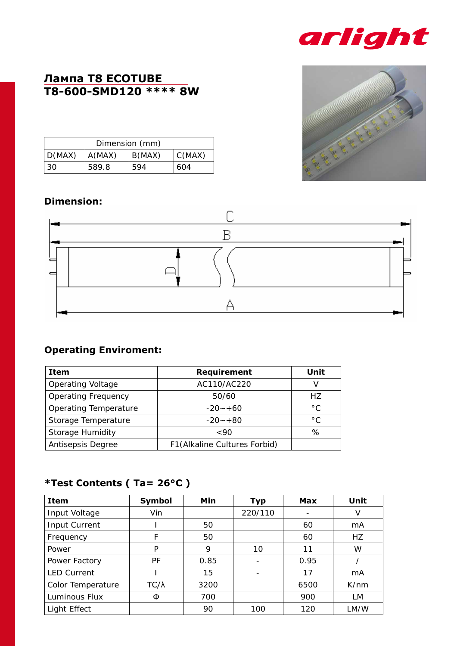

## **Лампа Т8 ECOTUBE T8-600-SMD120 \*\*\*\* 8W**

| Dimension (mm) |        |        |        |  |
|----------------|--------|--------|--------|--|
| D(MAX)         | A(MAX) | B(MAX) | C(MAX) |  |
| 30             | 589.8  | 594    | 604    |  |

#### **Dimension:**



## **Operating Enviroment:**

| Item                       | Requirement                   | Unit          |
|----------------------------|-------------------------------|---------------|
| <b>Operating Voltage</b>   | AC110/AC220                   |               |
| <b>Operating Frequency</b> | 50/60                         | HZ.           |
| Operating Temperature      | $-20 - +60$                   | $^{\circ}$ C. |
| Storage Temperature        | $-20 - +80$                   | $^{\circ}$ C  |
| Storage Humidity           | $~<$ 90                       | %             |
| Antisepsis Degree          | F1 (Alkaline Cultures Forbid) |               |

### **\*Test Contents ( Ta= 26°C )**

| <b>Item</b>        | Symbol       | Min  | <b>Typ</b> | Max  | Unit |
|--------------------|--------------|------|------------|------|------|
| Input Voltage      | Vin          |      | 220/110    |      | v    |
| Input Current      |              | 50   |            | 60   | mA   |
| Frequency          | F            | 50   |            | 60   | HZ.  |
| Power              | P            | 9    | 10         | 11   | W    |
| Power Factory      | PF           | 0.85 |            | 0.95 |      |
| <b>LED Current</b> |              | 15   |            | 17   | mA   |
| Color Temperature  | $TC/\lambda$ | 3200 |            | 6500 | K/nm |
| Luminous Flux      | Φ            | 700  |            | 900  | LM   |
| Light Effect       |              | 90   | 100        | 120  | LM/W |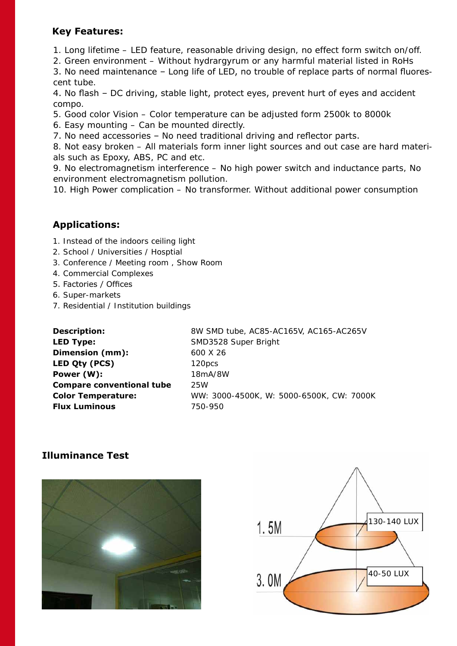#### **Key Features:**

- 1. Long lifetime LED feature, reasonable driving design, no effect form switch on/off.
- 2. Green environment Without hydrargyrum or any harmful material listed in RoHs

3. No need maintenance – Long life of LED, no trouble of replace parts of normal fluorescent tube.

4. No flash – DC driving, stable light, protect eyes, prevent hurt of eyes and accident compo.

5. Good color Vision – Color temperature can be adjusted form 2500k to 8000k

6. Easy mounting – Can be mounted directly.

7. No need accessories – No need traditional driving and reflector parts.

8. Not easy broken – All materials form inner light sources and out case are hard materials such as Epoxy, ABS, PC and etc.

9. No electromagnetism interference – No high power switch and inductance parts, No environment electromagnetism pollution.

10. High Power complication – No transformer. Without additional power consumption

### **Applications:**

- 1. Instead of the indoors ceiling light
- 2. School / Universities / Hosptial
- 3. Conference / Meeting room , Show Room
- 4. Commercial Complexes
- 5. Factories / Offices
- 6. Super-markets
- 7. Residential / Institution buildings

| <b>Description:</b>              | 8W SMD tube, AC85-AC165V, AC165-AC265V   |
|----------------------------------|------------------------------------------|
| <b>LED Type:</b>                 | SMD3528 Super Bright                     |
| Dimension (mm):                  | 600 X 26                                 |
| LED Qty (PCS)                    | 120pcs                                   |
| Power (W):                       | 18mA/8W                                  |
| <b>Compare conventional tube</b> | 25W                                      |
| <b>Color Temperature:</b>        | WW: 3000-4500K, W: 5000-6500K, CW: 7000K |
| <b>Flux Luminous</b>             | 750-950                                  |

#### **Illuminance Test**



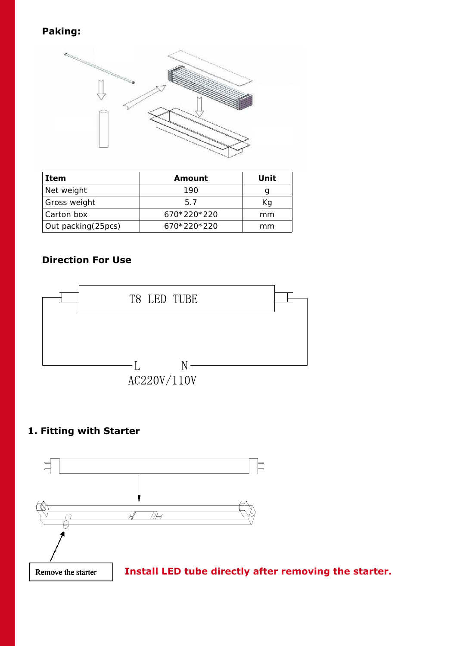## **Paking:**



| Item                | Amount      | Unit |
|---------------------|-------------|------|
| Net weight          | 190         |      |
| Gross weight        | 57          | Κq   |
| Carton box          | 670*220*220 | mm   |
| Out packing (25pcs) | 670*220*220 | mm   |

## **Direction For Use**



### **1. Fitting with Starter**